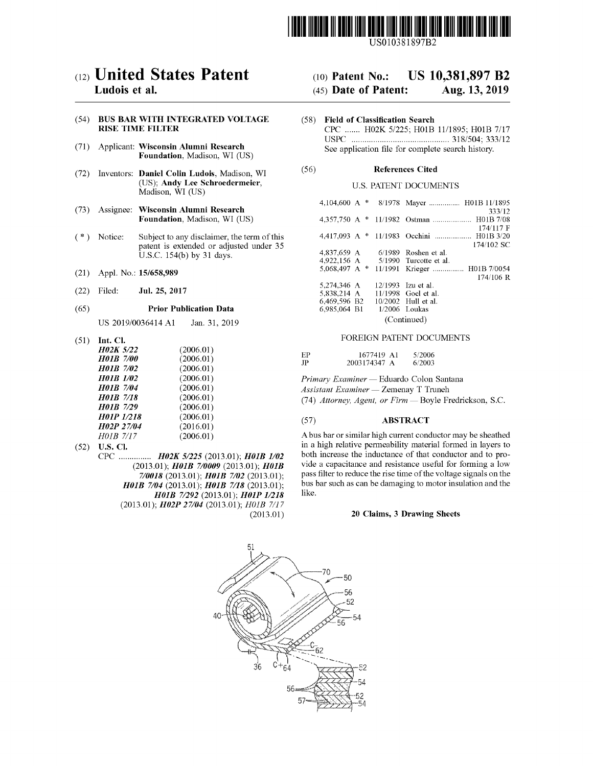

US010381897B2

# c12) **United States Patent**

## **Ludois et al.**

## (54) **BUS BAR WITH INTEGRATED VOLTAGE RISE TIME FILTER**

- (71) Applicant: **Wisconsin Alumni Research Foundation,** Madison, WI (US)
- (72) Inventors: **Daniel Colin Ludois,** Madison, WI (US); **Andy Lee Schroedermeier,**  Madison, WI (US)
- (73) Assignee: **Wisconsin Alumni Research Foundation,** Madison, WI (US)
- $(*)$  Notice: Subject to any disclaimer, the term of this patent is extended or adjusted under 35 U.S.C. 154(b) by 31 days.
- (21) Appl. No.: **15/658,989**
- (22) Filed: **Jul. 25, 2017**

### (65) **Prior Publication Data**

US 2019/0036414 Al Jan. 31, 2019

(51) **Int. Cl.** 

| <b>H02K 5/22</b>  | (2006.01) |
|-------------------|-----------|
| <b>H01B 7/00</b>  | (2006.01) |
| <b>H01B</b> 7/02  | (2006.01) |
| <b>H01B</b> 1/02  | (2006.01) |
| <b>H01B</b> 7/04  | (2006.01) |
| <b>H01B</b> 7/18  | (2006.01) |
| H01B 7/29         | (2006.01) |
| <b>H01P 1/218</b> | (2006.01) |
| H02P 27/04        | (2016.01) |
| H01B 7/17         | (2006.01) |

(52) **U.S. Cl.** 

CPC ............... *H02K 51225* (2013.01); *H0lB 1102*  (2013.01); *H0lB 710009* (2013.01); *H0lB 710018* (2013.01); *H0lB 7102* (2013.01); *H0lB 7104* (2013.01); *H0lB 7118* (2013.01); *H01B 7/292 (2013.01); H01P 1/218* (2013.01); *H02P 27104* (2013.01); *H0lB 7/17*  (2013.01)

### (IO) **Patent No.: US 10,381,897 B2**

### (45) **Date of Patent: Aug. 13, 2019**

(58) **Field of Classification Search**  CPC ....... H02K 5/225; H01B 11/1895; H01B 7/17 USPC ............................................. 318/504; 333/12 See application file for complete search history.

## (56) **References Cited**

## U.S. PATENT DOCUMENTS

| 4.104.600 A $*$ |  |  | 8/1978 Mayer  H01B 11/1895                 |  |
|-----------------|--|--|--------------------------------------------|--|
|                 |  |  | 333/12                                     |  |
|                 |  |  |                                            |  |
|                 |  |  | 174/117 F                                  |  |
|                 |  |  | 4.417.093 A * 11/1983 Occhini  H01B 3/20   |  |
|                 |  |  | 174/102 SC                                 |  |
| 4.837.659 A     |  |  | $6/1989$ Roshen et al.                     |  |
|                 |  |  | 4.922.156 A 5/1990 Turcotte et al.         |  |
|                 |  |  | 5,068,497 A * 11/1991 Krieger  H01B 7/0054 |  |
|                 |  |  | $174/106$ R                                |  |
| 5,274,346 A     |  |  | 12/1993 Izu et al.                         |  |
| 5.838.214 A     |  |  | 11/1998 Goel et al.                        |  |
| 6,469,596 B2    |  |  | 10/2002 Hull et al.                        |  |
| 6,985,064 B1    |  |  | $1/2006$ Loukas                            |  |
| (Continued)     |  |  |                                            |  |

### FOREIGN PATENT DOCUMENTS

| ЕP | 1677419 A1   | 5/2006 |
|----|--------------|--------|
| JP | 2003174347 A | 6/2003 |

*Primary Examiner* - Eduardo Colon Santana *Assistant Examiner* - Zemenay T Truneh

(74) *Attorney, Agent, or Firm* - Boyle Fredrickson, S.C.

## (57) **ABSTRACT**

A bus bar or similar high current conductor may be sheathed in a high relative permeability material formed in layers to both increase the inductance of that conductor and to provide a capacitance and resistance useful for forming a low pass filter to reduce the rise time of the voltage signals on the bus bar such as can be damaging to motor insulation and the like.

## **20 Claims, 3 Drawing Sheets**

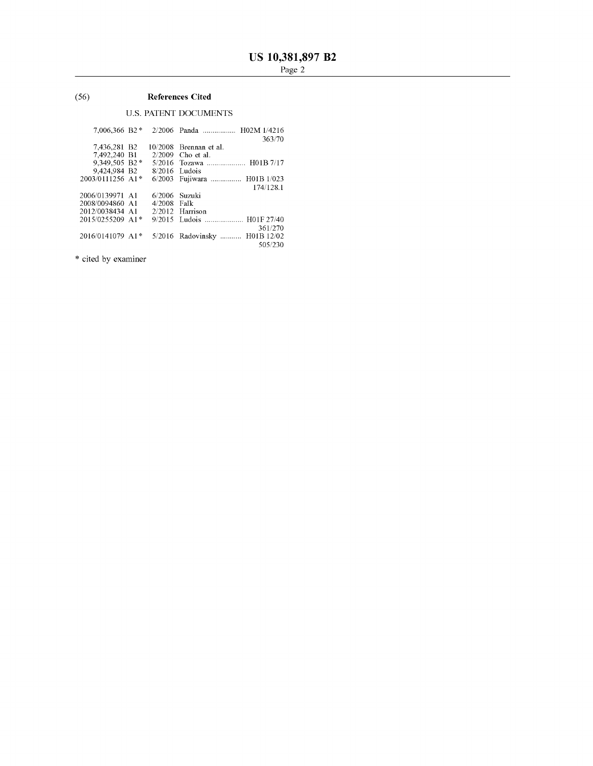## (56) **References Cited**

## U.S. PATENT DOCUMENTS

| 363/70<br>7.436.281 B2<br>$10/2008$ Brennan et al.<br>7,492,240 B1<br>$2/2009$ Cho et al. |  |
|-------------------------------------------------------------------------------------------|--|
|                                                                                           |  |
|                                                                                           |  |
|                                                                                           |  |
| 9,349,505 B2*<br>5/2016 Tozawa  H01B 7/17                                                 |  |
| 9.424.984 B2<br>$8/2016$ Ludois                                                           |  |
| 2003/0111256 A1*<br>6/2003 Fujiwara  H01B 1/023                                           |  |
| 174/128.1                                                                                 |  |
| 2006/0139971 A1<br>$6/2006$ Suzuki                                                        |  |
| 2008/0094860 A1<br>4/2008 Falk                                                            |  |
| 2012/0038434 A1<br>$2/2012$ Harrison                                                      |  |
| 2015/0255209 A1*<br>9/2015 Ludois  H01F 27/40                                             |  |
| 361/270                                                                                   |  |
| 5/2016 Radovinsky  H01B 12/02<br>2016/0141079 A1*                                         |  |
| 505/230                                                                                   |  |

\* cited by examiner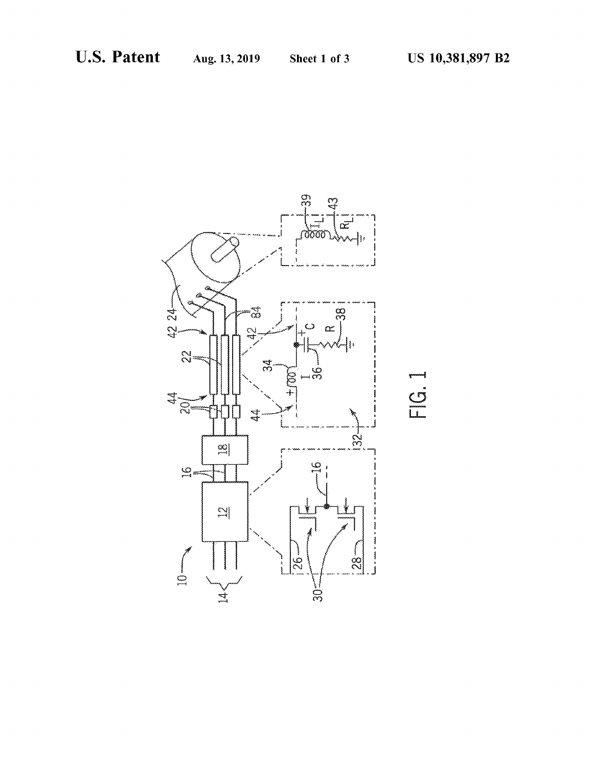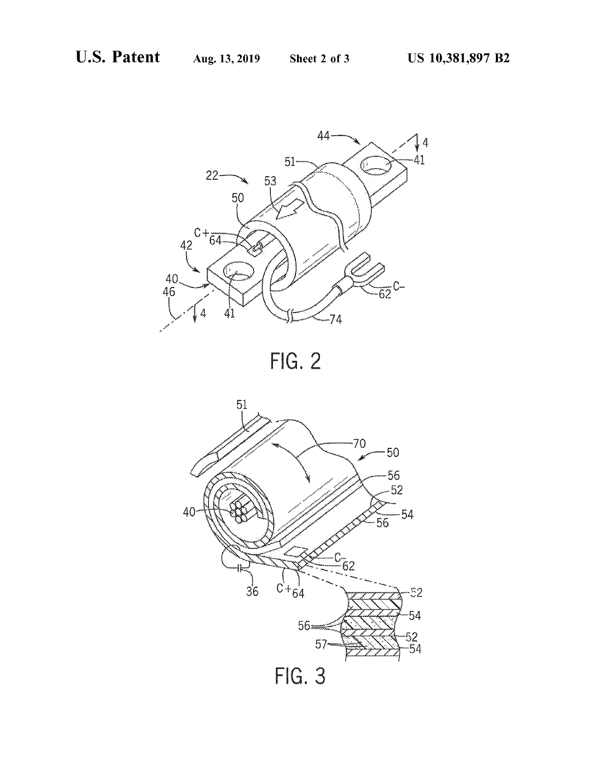



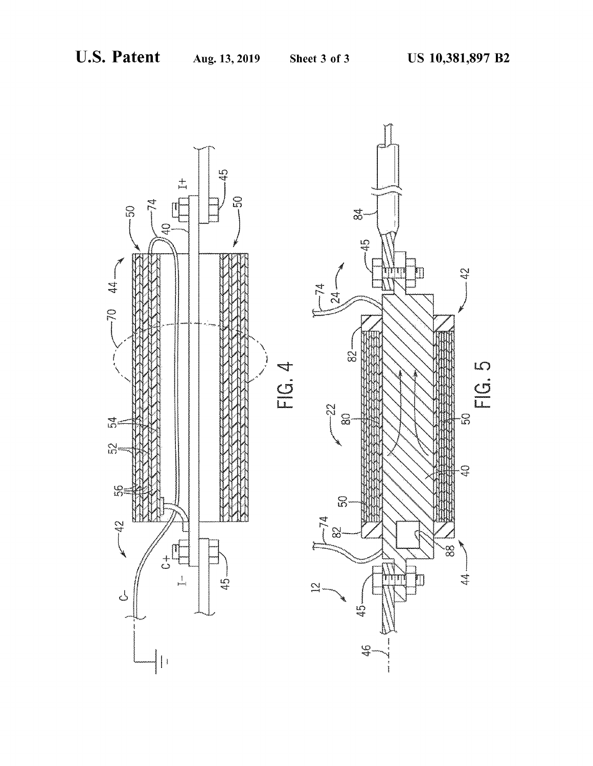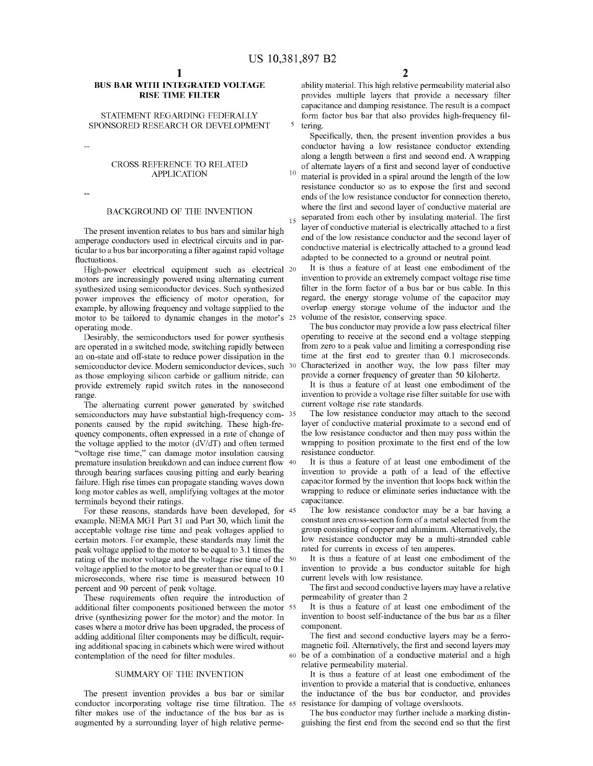## **BUS BAR WITH INTEGRATED VOLTAGE RISE TIME FILTER**

# SPONSORED RESEARCH OR DEVELOPMENT 5 tering.

## CROSS REFERENCE TO RELATED APPLICATION 10

The present invention relates to bus bars and similar high amperage conductors used in electrical circuits and in particular to a bus bar incorporating a filter against rapid voltage fluctuations.

High-power electrical equipment such as electrical 20 motors are increasingly powered using alternating current synthesized using semiconductor devices. Such synthesized power improves the efficiency of motor operation, for example, by allowing frequency and voltage supplied to the motor to be tailored to dynamic changes in the motor's 25 operating mode.

Desirably, the semiconductors used for power synthesis are operated in a switched mode, switching rapidly between an on-state and off-state to reduce power dissipation in the semiconductor device. Modern semiconductor devices, such 30 as those employing silicon carbide or gallium nitride, can provide extremely rapid switch rates in the nanosecond range.

The alternating current power generated by switched semiconductors may have substantial high-frequency com- 35 ponents caused by the rapid switching. These high-frequency components, often expressed in a rate of change of the voltage applied to the motor (dV/dT) and often termed "voltage rise time," can damage motor insulation causing premature insulation breakdown and can induce current flow 40 through bearing surfaces causing pitting and early bearing failure. High rise times can propagate standing waves down long motor cables as well, amplifying voltages at the motor terminals beyond their ratings.

For these reasons, standards have been developed, for 45 example, NEMA MG1 Part 31 and Part 30, which limit the acceptable voltage rise time and peak voltages applied to certain motors. For example, these standards may limit the peak voltage applied to the motor to be equal to 3 .1 times the rating of the motor voltage and the voltage rise time of the 50 voltage applied to the motor to be greater than or equal to 0.1 microseconds, where rise time is measured between 10 percent and 90 percent of peak voltage.

These requirements often require the introduction of additional filter components positioned between the motor 55 drive (synthesizing power for the motor) and the motor. In cases where a motor drive has been upgraded, the process of adding additional filter components may be difficult, requiring additional spacing in cabinets which were wired without contemplation of the need for filter modules.

## SUMMARY OF THE INVENTION

The present invention provides a bus bar or similar conductor incorporating voltage rise time filtration. The filter makes use of the inductance of the bus bar as is augmented by a surrounding layer of high relative perme-

ability material. This high relative permeability material also provides multiple layers that provide a necessary filter capacitance and damping resistance. The result is a compact STATEMENT REGARDING FEDERALLY form factor bus bar that also provides high-frequency fil-

Specifically, then, the present invention provides a bus conductor having a low resistance conductor extending along a length between a first and second end. A wrapping of alternate layers of a first and second layer of conductive material is provided in a spiral around the length of the low resistance conductor so as to expose the first and second ends of the low resistance conductor for connection thereto, BACKGROUND OF THE INVENTION where the first and second layer of conductive material are separated from each other by insulating material. The first layer of conductive material is electrically attached to a first end of the low resistance conductor and the second layer of

conductive material is electrically attached to a ground lead adapted to be connected to a ground or neutral point. It is thus a feature of at least one embodiment of the

invention to provide an extremely compact voltage rise time filter in the form factor of a bus bar or bus cable. In this regard, the energy storage volume of the capacitor may overlap energy storage volume of the inductor and the volume of the resistor, conserving space.

The bus conductor may provide a low pass electrical filter operating to receive at the second end a voltage stepping from zero to a peak value and limiting a corresponding rise time at the first end to greater than 0.1 microseconds. Characterized in another way, the low pass filter may provide a corner frequency of greater than 50 kilohertz.

It is thus a feature of at least one embodiment of the invention to provide a voltage rise filter suitable for use with current voltage rise rate standards.

The low resistance conductor may attach to the second layer of conductive material proximate to a second end of the low resistance conductor and then may pass within the wrapping to position proximate to the first end of the low resistance conductor.

It is thus a feature of at least one embodiment of the invention to provide a path of a lead of the effective capacitor formed by the invention that loops back within the wrapping to reduce or eliminate series inductance with the capacitance.

The low resistance conductor may be a bar having a constant area cross-section form of a metal selected from the group consisting of copper and aluminum. Alternatively, the low resistance conductor may be a multi-stranded cable rated for currents in excess of ten amperes.

It is thus a feature of at least one embodiment of the invention to provide a bus conductor suitable for high current levels with low resistance.

The first and second conductive layers may have a relative permeability of greater than 2

It is thus a feature of at least one embodiment of the invention to boost self-inductance of the bus bar as a filter component.

The first and second conductive layers may be a ferromagnetic foil. Alternatively, the first and second layers may 60 be of a combination of a conductive material and a high relative permeability material.

It is thus a feature of at least one embodiment of the invention to provide a material that is conductive, enhances the inductance of the bus bar conductor, and provides resistance for damping of voltage overshoots.

The bus conductor may further include a marking distinguishing the first end from the second end so that the first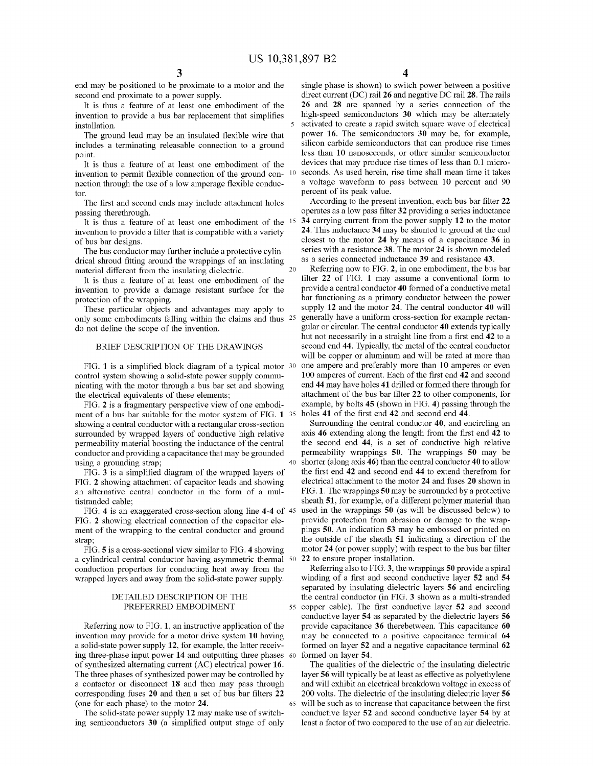end may be positioned to be proximate to a motor and the second end proximate to a power supply.

It is thus a feature of at least one embodiment of the invention to provide a bus bar replacement that simplifies installation.

The ground lead may be an insulated flexible wire that includes a terminating releasable connection to a ground point.

It is thus a feature of at least one embodiment of the invention to permit flexible connection of the ground con- <sup>10</sup> nection through the use of a low amperage flexible conductor.

The first and second ends may include attachment holes passing therethrough.

It is thus a feature of at least one embodiment of the invention to provide a filter that is compatible with a variety of bus bar designs.

The bus conductor may further include a protective cylindrical shroud fitting around the wrappings of an insulating material different from the insulating dielectric.

It is thus a feature of at least one embodiment of the invention to provide a damage resistant surface for the protection of the wrapping.

These particular objects and advantages may apply to only some embodiments falling within the claims and thus <sup>25</sup> do not define the scope of the invention.

## BRIEF DESCRIPTION OF THE DRAWINGS

FIG. 1 is a simplified block diagram of a typical motor <sup>30</sup> control system showing a solid-state power supply communicating with the motor through a bus bar set and showing the electrical equivalents of these elements;

FIG. **2** is a fragmentary perspective view of one embodiment of a bus bar suitable for the motor system of FIG. **1**  showing a central conductor with a rectangular cross-section surrounded by wrapped layers of conductive high relative permeability material boosting the inductance of the central conductor and providing a capacitance that may be grounded using a grounding strap;

FIG. **3** is a simplified diagram of the wrapped layers of FIG. **2** showing attachment of capacitor leads and showing an alternative central conductor in the form of a multistranded cable;

FIG. **4** is an exaggerated cross-section along line **4-4** of 45 FIG. **2** showing electrical connection of the capacitor element of the wrapping to the central conductor and ground strap;

FIG. **5** is a cross-sectional view similar to FIG. **4** showing a cylindrical central conductor having asymmetric thermal 50 conduction properties for conducting heat away from the wrapped layers and away from the solid-state power supply.

# PREFERRED EMBODIMENT

Referring now to FIG. **1,** an instructive application of the invention may provide for a motor drive system **10** having a solid-state power supply **12,** for example, the latter receiving three-phase input power **14** and outputting three phases of synthesized alternating current (AC) electrical power **16.**  The three phases of synthesized power may be controlled by a contactor or disconnect **18** and then may pass through corresponding fuses **20** and then a set of bus bar filters **22**  (one for each phase) to the motor **24.** 

The solid-state power supply **12** may make use of switching semiconductors **30** (a simplified output stage of only **4** 

single phase is shown) to switch power between a positive direct current (DC) rail **26** and negative DC rail **28.** The rails **26** and **28** are spanned by a series connection of the high-speed semiconductors **30** which may be alternately activated to create a rapid switch square wave of electrical power **16.** The semiconductors **30** may be, for example, silicon carbide semiconductors that can produce rise times less than 10 nanoseconds, or other similar semiconductor devices that may produce rise times of less than 0.1 microseconds. As used herein, rise time shall mean time it takes a voltage waveform to pass between 10 percent and 90 percent of its peak value.

According to the present invention, each bus bar filter **22**  operates as a low pass filter **32** providing a series inductance 15 **34** carrying current from the power supply **12** to the motor **24.** This inductance **34** may be shunted to ground at the end closest to the motor **24** by means of a capacitance **36** in series with a resistance **38.** The motor **24** is shown modeled as a series connected inductance **39** and resistance **43.** 

20 Referring now to FIG. **2,** in one embodiment, the bus bar filter **22** of FIG. **1** may assume a conventional form to provide a central conductor **40** formed of a conductive metal bar functioning as a primary conductor between the power supply **12** and the motor **24.** The central conductor **40** will 25 generally have a uniform cross-section for example rectangular or circular. The central conductor **40** extends typically hut not necessarily in a straight line from a first end **42** to a second end **44.** Typically, the metal of the central conductor will be copper or aluminum and will be rated at more than one ampere and preferably more than 10 amperes or even 100 amperes of current. Each of the first end **42** and second end **44** may have holes **41** drilled or formed there through for attachment of the bus bar filter **22** to other components, for example, by bolts **45** (shown in FIG. **4)** passing through the holes 41 of the first end 42 and second end 44.

Surrounding the central conductor **40,** and encircling an axis **46** extending along the length from the first end **42** to the second end **44,** is a set of conductive high relative permeability wrappings **50.** The wrappings **50** may be 40 shorter ( along axis **46)** than the central conductor **40** to allow the first end **42** and second end **44** to extend therefrom for electrical attachment to the motor **24** and fuses **20** shown in FIG. **1.** The wrappings **50** may be surrounded by a protective sheath **51,** for example, of a different polymer material than used in the wrappings **50** (as will be discussed below) to provide protection from abrasion or damage to the wrappings **50.** An indication **53** may be embossed or printed on the outside of the sheath **51** indicating a direction of the motor **24** ( or power supply) with respect to the bus bar filter **22** to ensure proper installation.

Referring also to FIG. **3,** the wrappings **50** provide a spiral winding of a first and second conductive layer **52** and **54**  separated by insulating dielectric layers **56** and encircling DETAILED DESCRIPTION OF THE the central conductor (in FIG. **3** shown as a multi-stranded 55 copper cable). The first conductive layer **52** and second conductive layer **54** as separated by the dielectric layers **56**  provide capacitance **36** therebetween. This capacitance **60**  may be connected to a positive capacitance terminal **64**  formed on layer **52** and a negative capacitance terminal **62**  formed on layer 54.

The qualities of the dielectric of the insulating dielectric layer **56** will typically be at least as effective as polyethylene and will exhibit an electrical breakdown voltage in excess of 200 volts. The dielectric of the insulating dielectric layer **56**  65 will be such as to increase that capacitance between the first conductive layer **52** and second conductive layer **54** by at least a factor of two compared to the use of an air dielectric.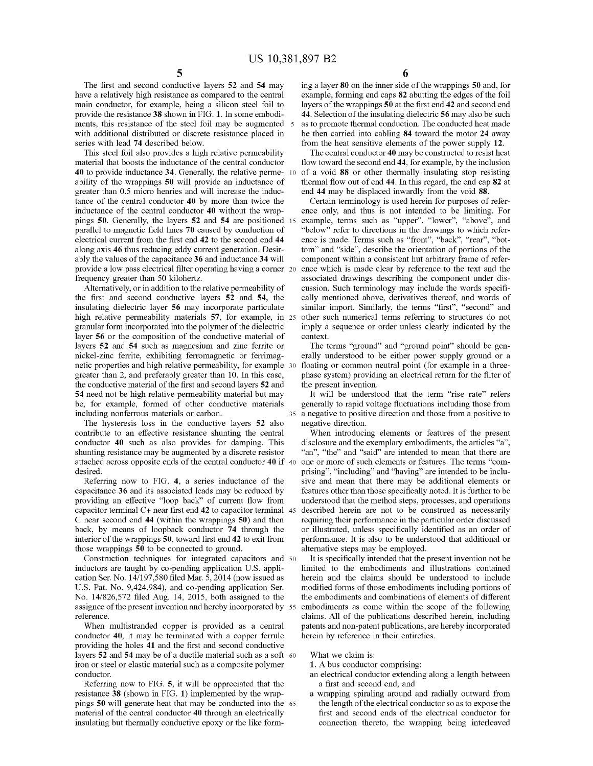The first and second conductive layers **52** and **54** may have a relatively high resistance as compared to the central main conductor, for example, being a silicon steel foil to provide the resistance **38** shown in FIG. **1.** In some embodiments, this resistance of the steel foil may be augmented with additional distributed or discrete resistance placed in series with lead **74** described below.

This steel foil also provides a high relative permeability material that boosts the inductance of the central conductor **40** to provide inductance **34.** Generally, the relative permeability of the wrappings **50** will provide an inductance of greater than 0.5 micro henries and will increase the inductance of the central conductor **40** by more than twice the inductance of the central conductor **40** without the wrappings **50.** Generally, the layers **52** and **54** are positioned parallel to magnetic field lines **70** caused by conduction of electrical current from the first end **42** to the second end **44**  along axis **46** thus reducing eddy current generation. Desirably the values of the capacitance **36** and inductance **34** will provide a low pass electrical filter operating having a corner frequency greater than 50 kilohertz.

Alternatively, or in addition to the relative permeability of the first and second conductive layers **52 and 54,** the insulating dielectric layer **56** may incorporate particulate high relative permeability materials **57,** for example, in granular form incorporated into the polymer of the dielectric layer **56** or the composition of the conductive material of layers **52 and 54** such as magnesium and zinc ferrite or nickel-zinc ferrite, exhibiting ferromagnetic or ferrimagnetic properties and high relative permeability, for example 30 greater than 2, and preferably greater than 10. In this case, the conductive material of the first and second layers **52** and **54** need not be high relative permeability material but may It will be understood that the term "rise rate" refers be, for example, formed of other conductive materials including nonferrous materials or carbon.

The hysteresis loss in the conductive layers **52** also negative direction. contribute to an effective resistance shunting the central conductor **40** such as also provides for damping. This shunting resistance may be augmented by a discrete resistor attached across opposite ends of the central conductor **40** if 40 one or more of such elements or features. The terms "comdesired.

Referring now to FIG. **4,** a series inductance of the capacitance **36** and its associated leads may be reduced by providing an effective "loop back" of current flow from capacitor terminal C+ near first end **42** to capacitor terminal C near second end **44** (within the wrappings **50)** and then back, by means of loopback conductor **74** through the interior of the wrappings **50,** toward first end **42** to exit from those wrappings **50** to be connected to ground.

Construction techniques for integrated capacitors and 50 inductors are taught by co-pending application U.S. application Ser. No. 14/197,580 filed Mar. 5, 2014 (now issued as U.S. Pat. No. 9,424,984), and co-pending application Ser. No. 14/826,572 filed Aug. 14, 2015, both assigned to the assignee of the present invention and hereby incorporated by 55 reference.

When multistranded copper is provided as a central conductor **40,** it may be terminated with a copper ferrule providing the holes **41** and the first and second conductive layers **52 and 54** may be of a ductile material such as a soft 60 iron or steel or elastic material such as a composite polymer conductor.

Referring now to FIG. **5,** it will be appreciated that the resistance **38** (shown in FIG. **1)** implemented by the wrappings **50** will generate heat that may be conducted into the 65 material of the central conductor **40** through an electrically insulating but thermally conductive epoxy or the like form-

ing a layer **80** on the inner side of the wrappings **50** and, for example, forming end caps **82** abutting the edges of the foil layers of the wrappings **50** at the first end **42** and second end **44.** Selection of the insulating dielectric **56** may also be such as to promote thermal conduction. The conducted heat made be then carried into cabling **84** toward the motor **24** away from the heat sensitive elements of the power supply **12.** 

The central conductor **40** may be constructed to resist heat flow toward the second end **44,** for example, by the inclusion 10 of a void **88** or other thermally insulating stop resisting thermal flow out of end **44.** In this regard, the end cap **82** at end **44** may be displaced inwardly from the void **88.** 

Certain terminology is used herein for purposes of reference only, and thus is not intended to be limiting. For example, terms such as "upper", "lower", "above", and "below" refer to directions in the drawings to which reference is made. Terms such as "front", "back", "rear", "bottom" and "side", describe the orientation of portions of the component within a consistent hut arbitrary frame of reference which is made clear by reference to the text and the associated drawings describing the component under discussion. Such terminology may include the words specifically mentioned above, derivatives thereof, and words of similar import. Similarly, the terms "first", "second" and 25 other such numerical terms referring to structures do not imply a sequence or order unless clearly indicated by the context.

The terms "ground" and "ground point" should be generally understood to be either power supply ground or a floating or common neutral point (for example in a threephase system) providing an electrical return for the filter of the present invention.

generally to rapid voltage fluctuations including those from 35 a negative to positive direction and those from a positive to

When introducing elements or features of the present disclosure and the exemplary embodiments, the articles "a", "an", "the" and "said" are intended to mean that there are prising", "including" and "having" are intended to be inclusive and mean that there may be additional elements or features other than those specifically noted. It is further to be understood that the method steps, processes, and operations described herein are not to be construed as necessarily requiring their performance in the particular order discussed or illustrated, unless specifically identified as an order of performance. It is also to be understood that additional or alternative steps may be employed.

It is specifically intended that the present invention not be limited to the embodiments and illustrations contained herein and the claims should be understood to include modified forms of those embodiments including portions of the embodiments and combinations of elements of different embodiments as come within the scope of the following claims. All of the publications described herein, including patents and non-patent publications, are hereby incorporated herein by reference in their entireties.

What we claim is:

**1.** A bus conductor comprising:

- an electrical conductor extending along a length between a first and second end; and
- a wrapping spiraling around and radially outward from the length of the electrical conductor so as to expose the first and second ends of the electrical conductor for connection thereto, the wrapping being interleaved